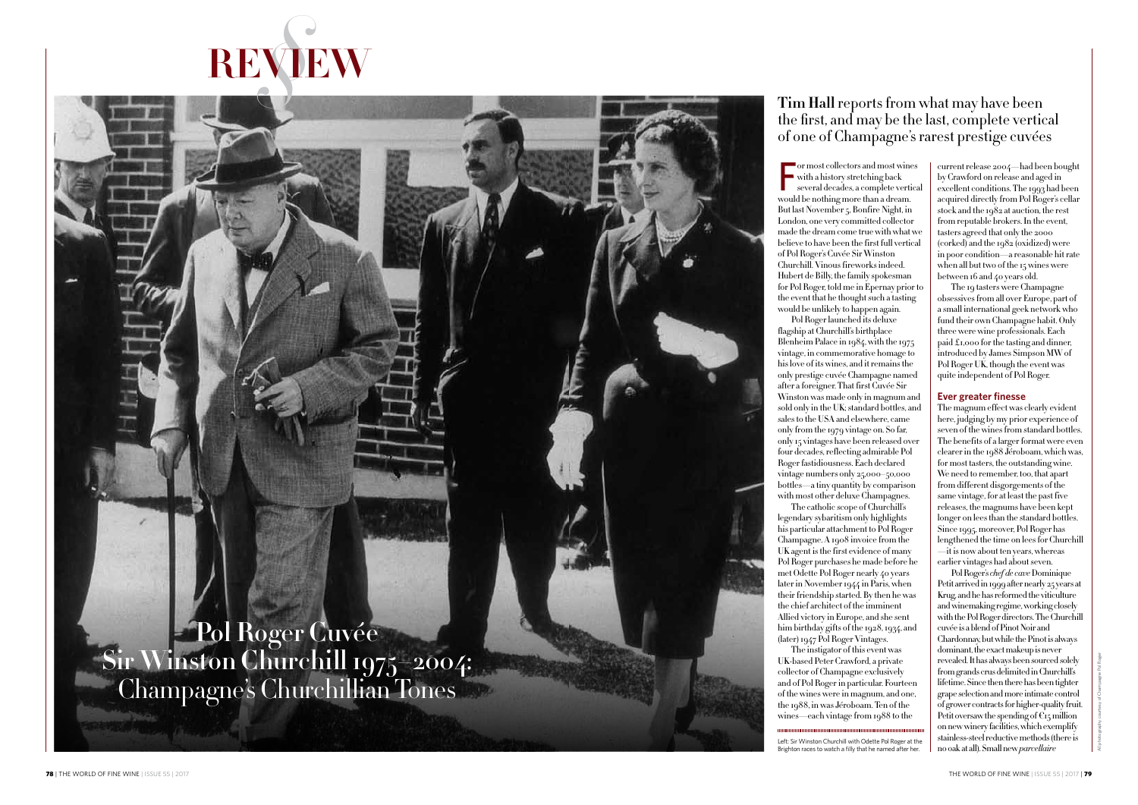$\frac{1}{2}$   $\frac{1}{2}$   $\frac{1}{2}$   $\frac{1}{2}$   $\frac{1}{2}$   $\frac{1}{2}$   $\frac{1}{2}$   $\frac{1}{2}$   $\frac{1}{2}$   $\frac{1}{2}$   $\frac{1}{2}$   $\frac{1}{2}$   $\frac{1}{2}$   $\frac{1}{2}$   $\frac{1}{2}$   $\frac{1}{2}$   $\frac{1}{2}$   $\frac{1}{2}$   $\frac{1}{2}$   $\frac{1}{2}$   $\frac{1}{2}$   $\frac{1}{2}$  or most collectors and most wines with a history stretching back several decades, a complete vertical would be nothing more than a dream. But last November 5, Bonfire Night, in London, one very committed collector made the dream come true with what we believe to have been the first full vertical of Pol Roger's Cuvée Sir Winston Churchill. Vinous fireworks indeed. Hubert de Billy, the family spokesman for Pol Roger, told me in Epernay prior to the event that he thought such a tasting would be unlikely to happen again. Pol Roger launched its deluxe flagship at Churchill's birthplace Blenheim Palace in  $1984$ , with the 1975 vintage, in commemorative homage to his love of its wines, and it remains the only prestige cuvée Champagne named after a foreigner. That first Cuvée Sir Winston was made only in magnum and sold only in the UK; standard bottles, and sales to the USA and elsewhere, came only from the 1979 vintage on. So far, only 15 vintages have been released over four decades, reflecting admirable Pol Roger fastidiousness. Each declared vintage numbers only 25,000–50,000 bottles—a tiny quantity by comparison with most other deluxe Champagnes. The catholic scope of Churchill's legendary sybaritism only highlights his particular attachment to Pol Roger Champagne. A 1908 invoice from the UK agent is the first evidence of many Pol Roger purchases he made before he met Odette Pol Roger nearly 40 years later in November 1944 in Paris, when their friendship started. By then he was the chief architect of the imminent Allied victory in Europe, and she sent him birthday gifts of the 1928, 1934, and (later) 1947 Pol Roger Vintages. The instigator of this event was UK-based Peter Crawford, a private

collector of Champagne exclusively and of Pol Roger in particular. Fourteen of the wines were in magnum, and one, the 1988, in was Jéroboam. Ten of the wines—each vintage from 1988 to the

current release 2004—had been bought by Crawford on release and aged in excellent conditions. The 1993 had been acquired directly from Pol Roger's cellar stock and the 1982 at auction, the rest from reputable brokers. In the event, tasters agreed that only the 2000 (corked) and the 1982 (oxidized) were in poor condition—a reasonable hit rate when all but two of the 15 wines were between 16 and 40 years old.

The 19 tasters were Champagne obsessives from all over Europe, part of a small international geek network who fund their own Champagne habit. Only three were wine professionals. Each paid £1,000 for the tasting and dinner, introduced by James Simpson MW of Pol Roger UK, though the event was quite independent of Pol Roger.

#### **Ever greater finesse**

The magnum effect was clearly evident here, judging by my prior experience of seven of the wines from standard bottles. The benefits of a larger format were even clearer in the 1988 Jéroboam, which was, for most tasters, the outstanding wine. We need to remember, too, that apart from different disgorgements of the same vintage, for at least the past five releases, the magnums have been kept longer on lees than the standard bottles. Since 1995, moreover, Pol Roger has lengthened the time on lees for Churchill  $-\mathrm{i}\mathrm{i}$  is now about ten years, whereas earlier vintages had about seven.

Pol Roger's *chef de cave* Dominique Petit arrived in 1999 after nearly 25 years at Krug, and he has reformed the viticulture and winemaking regime, working closely with the Pol Roger directors. The Churchill cuvée is a blend of Pinot Noir and Chardonnay, but while the Pinot is always dominant, the exact makeup is never revealed. It has always been sourced solely from grands crus delimited in Churchill's lifetime. Since then there has been tighter grape selection and more intimate control of grower contracts for higher-quality fruit. Petit oversaw the spending of  $\mathfrak{E}_{15}$  million on new winery facilities, which exemplify stainless-steel reductive methods (there is no oak at all). Small new *parcellaire*



# the first, and may be the last, complete vertical of one of Champagne's rarest prestige cuvées

**Pol Roger Cuvée Sir Winston Churchill 1975–2004:** Champagne's Churchillian Tones

Left: Sir Winston Churchill with Odette Pol Roger at the Brighton races to watch a filly that he named after her.